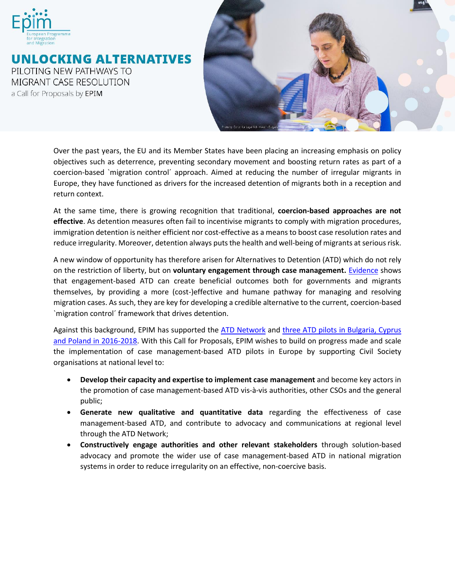

UNLOCKING ALTERNATIVES PILOTING NEW PATHWAYS TO **MIGRANT CASE RESOLUTION** a Call for Proposals by EPIM



Over the past years, the EU and its Member States have been placing an increasing emphasis on policy objectives such as deterrence, preventing secondary movement and boosting return rates as part of a coercion-based `migration control´ approach. Aimed at reducing the number of irregular migrants in Europe, they have functioned as drivers for the increased detention of migrants both in a reception and return context.

At the same time, there is growing recognition that traditional, **coercion-based approaches are not effective**. As detention measures often fail to incentivise migrants to comply with migration procedures, immigration detention is neither efficient nor cost-effective as a means to boost case resolution rates and reduce irregularity. Moreover, detention always puts the health and well-being of migrants at serious risk.

A new window of opportunity has therefore arisen for Alternatives to Detention (ATD) which do not rely on the restriction of liberty, but on **voluntary engagement through case management.** [Evidence](http://www.epim.info/wp-content/uploads/2018/10/ATD-Evaluation-Report_FINAL.pdf) shows that engagement-based ATD can create beneficial outcomes both for governments and migrants themselves, by providing a more (cost-)effective and humane pathway for managing and resolving migration cases. As such, they are key for developing a credible alternative to the current, coercion-based `migration control´ framework that drives detention.

Against this background, EPIM has supported the [ATD Network](https://www.atdnetwork.org/) and three ATD pilots in Bulgaria, Cyprus [and Poland](https://www.epim.info/wp-content/uploads/2018/10/ATD-Evaluation-Report_FINAL.pdf) in 2016-2018. With this Call for Proposals, EPIM wishes to build on progress made and scale the implementation of case management-based ATD pilots in Europe by supporting Civil Society organisations at national level to:

- **Develop their capacity and expertise to implement case management** and become key actors in the promotion of case management-based ATD vis-à-vis authorities, other CSOs and the general public;
- **Generate new qualitative and quantitative data** regarding the effectiveness of case management-based ATD, and contribute to advocacy and communications at regional level through the ATD Network;
- **Constructively engage authorities and other relevant stakeholders** through solution-based advocacy and promote the wider use of case management-based ATD in national migration systems in order to reduce irregularity on an effective, non-coercive basis.